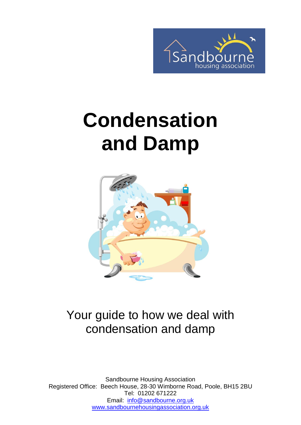

# **Condensation and Damp**



### Your guide to how we deal with condensation and damp

Sandbourne Housing Association Registered Office: Beech House, 28-30 Wimborne Road, Poole, BH15 2BU Tel: 01202 671222 Email: [info@sandbourne.org.uk](mailto:info@sandbourne.org.uk) [www.sandbournehousingassociation.org.uk](http://www.sandbournehousingassociation.org.uk/)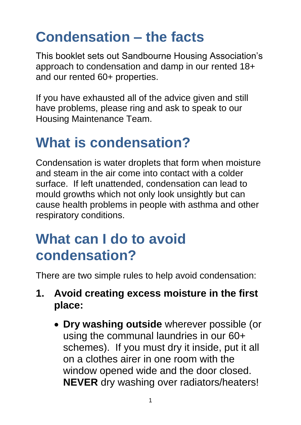### **Condensation – the facts**

This booklet sets out Sandbourne Housing Association's approach to condensation and damp in our rented 18+ and our rented 60+ properties.

If you have exhausted all of the advice given and still have problems, please ring and ask to speak to our Housing Maintenance Team.

### **What is condensation?**

Condensation is water droplets that form when moisture and steam in the air come into contact with a colder surface. If left unattended, condensation can lead to mould growths which not only look unsightly but can cause health problems in people with asthma and other respiratory conditions.

### **What can I do to avoid condensation?**

There are two simple rules to help avoid condensation:

- **1. Avoid creating excess moisture in the first place:**
	- **Dry washing outside** wherever possible (or using the communal laundries in our 60+ schemes). If you must dry it inside, put it all on a clothes airer in one room with the window opened wide and the door closed. **NEVER** dry washing over radiators/heaters!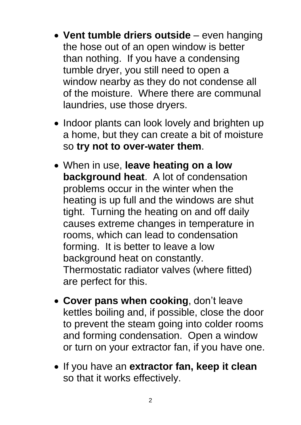- **Vent tumble driers outside**  even hanging the hose out of an open window is better than nothing. If you have a condensing tumble dryer, you still need to open a window nearby as they do not condense all of the moisture. Where there are communal laundries, use those dryers.
- Indoor plants can look lovely and brighten up a home, but they can create a bit of moisture so **try not to over-water them**.
- When in use, **leave heating on a low background heat**. A lot of condensation problems occur in the winter when the heating is up full and the windows are shut tight. Turning the heating on and off daily causes extreme changes in temperature in rooms, which can lead to condensation forming. It is better to leave a low background heat on constantly. Thermostatic radiator valves (where fitted) are perfect for this.
- **Cover pans when cooking**, don't leave kettles boiling and, if possible, close the door to prevent the steam going into colder rooms and forming condensation. Open a window or turn on your extractor fan, if you have one.
- If you have an **extractor fan, keep it clean**  so that it works effectively.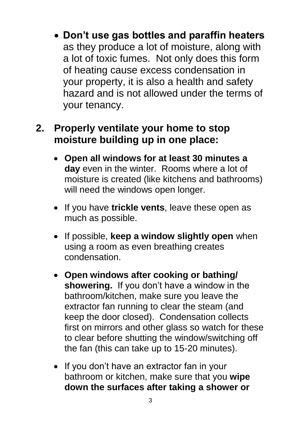**Don't use gas bottles and paraffin heaters** as they produce a lot of moisture, along with a lot of toxic fumes. Not only does this form of heating cause excess condensation in your property, it is also a health and safety hazard and is not allowed under the terms of your tenancy.

#### **2. Properly ventilate your home to stop moisture building up in one place:**

- **Open all windows for at least 30 minutes a day** even in the winter. Rooms where a lot of moisture is created (like kitchens and bathrooms) will need the windows open longer.
- If you have **trickle vents**, leave these open as much as possible.
- **•** If possible, **keep a window slightly open** when using a room as even breathing creates condensation.
- **Open windows after cooking or bathing/ showering.** If you don't have a window in the bathroom/kitchen, make sure you leave the extractor fan running to clear the steam (and keep the door closed). Condensation collects first on mirrors and other glass so watch for these to clear before shutting the window/switching off the fan (this can take up to 15-20 minutes).
- If you don't have an extractor fan in your bathroom or kitchen, make sure that you **wipe down the surfaces after taking a shower or**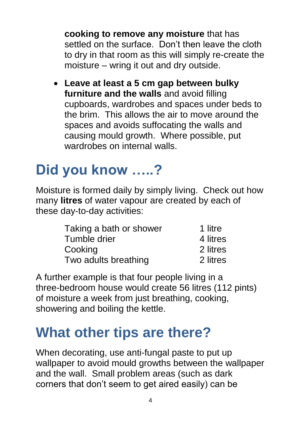**cooking to remove any moisture** that has settled on the surface. Don't then leave the cloth to dry in that room as this will simply re-create the moisture – wring it out and dry outside.

 **Leave at least a 5 cm gap between bulky furniture and the walls** and avoid filling cupboards, wardrobes and spaces under beds to the brim. This allows the air to move around the spaces and avoids suffocating the walls and causing mould growth. Where possible, put wardrobes on internal walls.

### **Did you know …..?**

Moisture is formed daily by simply living. Check out how many **litres** of water vapour are created by each of these day-to-day activities:

| Taking a bath or shower | 1 litre  |
|-------------------------|----------|
| Tumble drier            | 4 litres |
| Cooking                 | 2 litres |
| Two adults breathing    | 2 litres |

A further example is that four people living in a three-bedroom house would create 56 litres (112 pints) of moisture a week from just breathing, cooking, showering and boiling the kettle.

### **What other tips are there?**

When decorating, use anti-fungal paste to put up wallpaper to avoid mould growths between the wallpaper and the wall. Small problem areas (such as dark corners that don't seem to get aired easily) can be